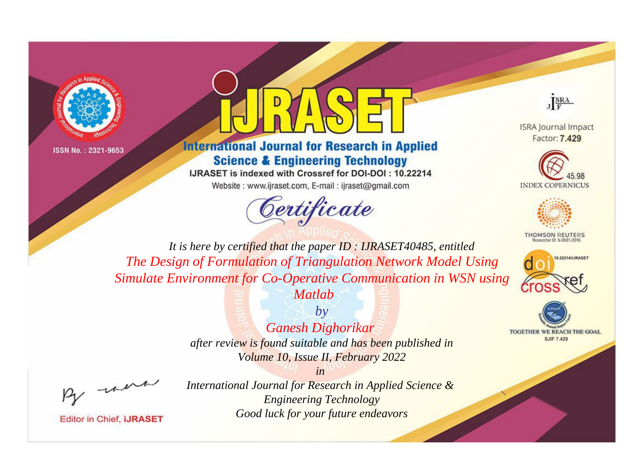



**International Journal for Research in Applied Science & Engineering Technology** 

IJRASET is indexed with Crossref for DOI-DOI: 10.22214

Website: www.ijraset.com, E-mail: ijraset@gmail.com





**ISRA Journal Impact** Factor: 7.429





**THOMSON REUTERS** 



**TOGETHER WE REACH THE GOAL SJIF 7.429** 

*It is here by certified that the paper ID : IJRASET40485, entitled The Design of Formulation of Triangulation Network Model Using Simulate Environment for Co-Operative Communication in WSN using Matlab*

*Ganesh Dighorikar* 

*by*

*after review is found suitable and has been published in Volume 10, Issue II, February 2022*

*in* 

, un

**Editor in Chief, IJRASET**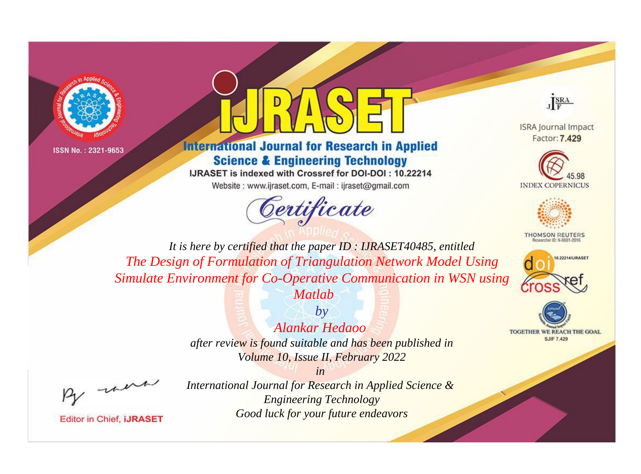



**International Journal for Research in Applied Science & Engineering Technology** 

IJRASET is indexed with Crossref for DOI-DOI: 10.22214

Website: www.ijraset.com, E-mail: ijraset@gmail.com





**ISRA Journal Impact** Factor: 7.429





**THOMSON REUTERS** 



TOGETHER WE REACH THE GOAL **SJIF 7.429** 

*It is here by certified that the paper ID : IJRASET40485, entitled The Design of Formulation of Triangulation Network Model Using Simulate Environment for Co-Operative Communication in WSN using* 



*Alankar Hedaoo* 

*after review is found suitable and has been published in Volume 10, Issue II, February 2022*

*in* 

, un

**Editor in Chief, IJRASET**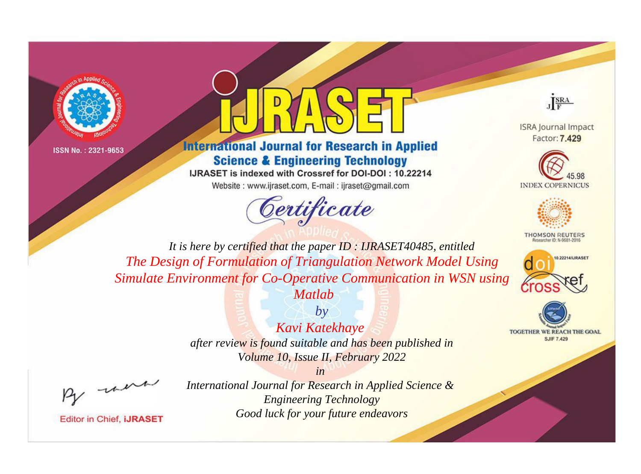



**International Journal for Research in Applied Science & Engineering Technology** 

IJRASET is indexed with Crossref for DOI-DOI: 10.22214

Website: www.ijraset.com, E-mail: ijraset@gmail.com



JERA

**ISRA Journal Impact** Factor: 7.429





**THOMSON REUTERS** 



TOGETHER WE REACH THE GOAL **SJIF 7.429** 

*It is here by certified that the paper ID : IJRASET40485, entitled The Design of Formulation of Triangulation Network Model Using Simulate Environment for Co-Operative Communication in WSN using Matlab*



*after review is found suitable and has been published in Volume 10, Issue II, February 2022*

*in* 

, un

**Editor in Chief, IJRASET**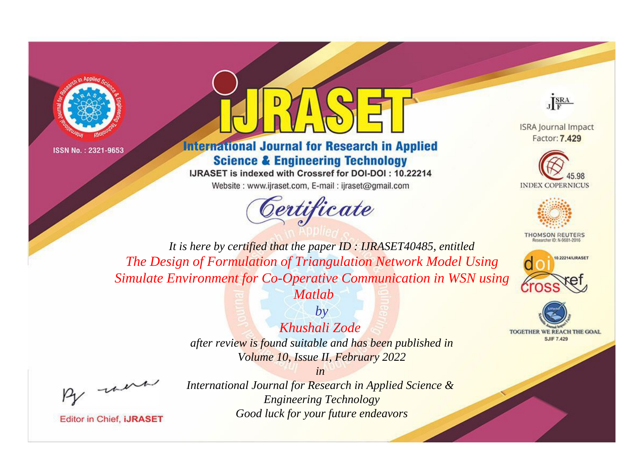



**International Journal for Research in Applied Science & Engineering Technology** 

IJRASET is indexed with Crossref for DOI-DOI: 10.22214

Website: www.ijraset.com, E-mail: ijraset@gmail.com





**ISRA Journal Impact** Factor: 7.429





**THOMSON REUTERS** 



TOGETHER WE REACH THE GOAL **SJIF 7.429** 

*It is here by certified that the paper ID : IJRASET40485, entitled The Design of Formulation of Triangulation Network Model Using Simulate Environment for Co-Operative Communication in WSN using Matlab*



*after review is found suitable and has been published in Volume 10, Issue II, February 2022*

*in* 

, un

**Editor in Chief, IJRASET**